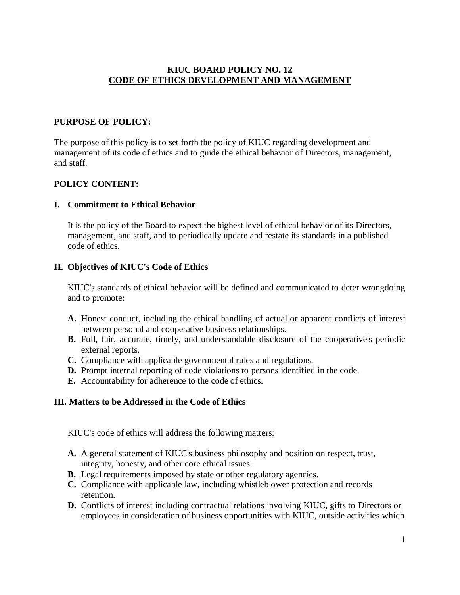# **KIUC BOARD POLICY NO. 12 CODE OF ETHICS DEVELOPMENT AND MANAGEMENT**

# **PURPOSE OF POLICY:**

The purpose of this policy is to set forth the policy of KIUC regarding development and management of its code of ethics and to guide the ethical behavior of Directors, management, and staff.

# **POLICY CONTENT:**

#### **I. Commitment to Ethical Behavior**

It is the policy of the Board to expect the highest level of ethical behavior of its Directors, management, and staff, and to periodically update and restate its standards in a published code of ethics.

#### **II. Objectives of KIUC's Code of Ethics**

KIUC's standards of ethical behavior will be defined and communicated to deter wrongdoing and to promote:

- **A.** Honest conduct, including the ethical handling of actual or apparent conflicts of interest between personal and cooperative business relationships.
- **B.** Full, fair, accurate, timely, and understandable disclosure of the cooperative's periodic external reports.
- **C.** Compliance with applicable governmental rules and regulations.
- **D.** Prompt internal reporting of code violations to persons identified in the code.
- **E.** Accountability for adherence to the code of ethics.

#### **III. Matters to be Addressed in the Code of Ethics**

KIUC's code of ethics will address the following matters:

- **A.** A general statement of KIUC's business philosophy and position on respect, trust, integrity, honesty, and other core ethical issues.
- **B.** Legal requirements imposed by state or other regulatory agencies.
- **C.** Compliance with applicable law, including whistleblower protection and records retention.
- **D.** Conflicts of interest including contractual relations involving KIUC, gifts to Directors or employees in consideration of business opportunities with KIUC, outside activities which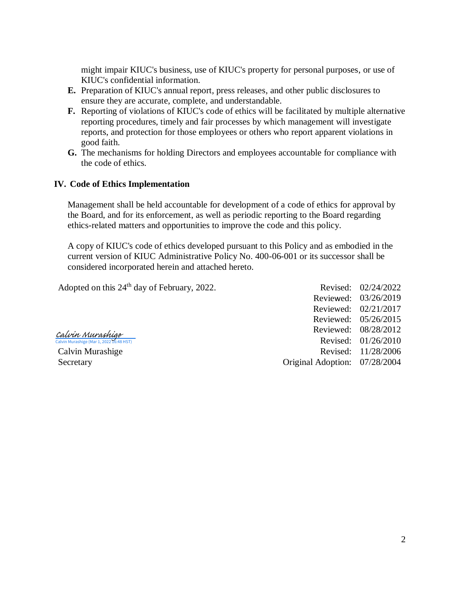might impair KIUC's business, use of KIUC's property for personal purposes, or use of KIUC's confidential information.

- **E.** Preparation of KIUC's annual report, press releases, and other public disclosures to ensure they are accurate, complete, and understandable.
- **F.** Reporting of violations of KIUC's code of ethics will be facilitated by multiple alternative reporting procedures, timely and fair processes by which management will investigate reports, and protection for those employees or others who report apparent violations in good faith.
- **G.** The mechanisms for holding Directors and employees accountable for compliance with the code of ethics.

#### **IV. Code of Ethics Implementation**

Management shall be held accountable for development of a code of ethics for approval by the Board, and for its enforcement, as well as periodic reporting to the Board regarding ethics-related matters and opportunities to improve the code and this policy.

A copy of KIUC's code of ethics developed pursuant to this Policy and as embodied in the current version of KIUC Administrative Policy No. 400-06-001 or its successor shall be considered incorporated herein and attached hereto.

[Calvin Murashige](https://na2.documents.adobe.com/verifier?tx=CBJCHBCAABAAMZ2UpfdGU0IcWUSZCEiCvAYvdPwjMNpj)<br><sup>Calvin Murashige (Mar 1, 2022 16:48 HST)</sup>

Adopted on this 24<sup>th</sup> day of February, 2022. Revised: 02/24/2022 Reviewed: 03/26/2019 Reviewed: 02/21/2017 Reviewed: 05/26/2015 Reviewed: 08/28/2012 Revised: 01/26/2010 Calvin Murashige Revised: 11/28/2006 Secretary Original Adoption: 07/28/2004